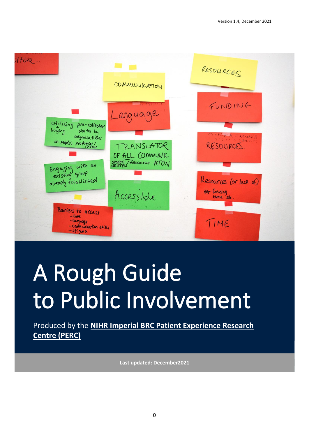

# A Rough Guide to Public Involvement

Produced by the **[NIHR Imperial BRC Patient Experience Research](http://www.imperial.ac.uk/patient-experience-research-centre/)  [Centre \(PERC\)](http://www.imperial.ac.uk/patient-experience-research-centre/)**

**Last updated: December2021**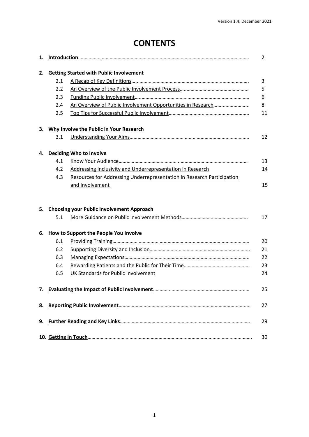# **CONTENTS**

| 1. |     |                                                                        | 2  |
|----|-----|------------------------------------------------------------------------|----|
| 2. |     | <b>Getting Started with Public Involvement</b>                         |    |
|    | 2.1 |                                                                        | 3  |
|    | 2.2 |                                                                        | 5  |
|    | 2.3 |                                                                        | 6  |
|    | 2.4 |                                                                        | 8  |
|    | 2.5 |                                                                        | 11 |
|    |     | 3. Why Involve the Public in Your Research                             |    |
|    | 3.1 |                                                                        | 12 |
|    |     | 4. Deciding Who to Involve                                             |    |
|    | 4.1 |                                                                        | 13 |
|    | 4.2 | Addressing Inclusivity and Underrepresentation in Research             | 14 |
|    | 4.3 | Resources for Addressing Underrepresentation in Research Participation |    |
|    |     | and Involvement                                                        | 15 |
|    |     | 5. Choosing your Public Involvement Approach                           |    |
|    | 5.1 |                                                                        | 17 |
| 6. |     | How to Support the People You Involve                                  |    |
|    | 6.1 |                                                                        | 20 |
|    | 6.2 |                                                                        | 21 |
|    | 6.3 |                                                                        | 22 |
|    | 6.4 |                                                                        | 23 |
|    | 6.5 | UK Standards for Public Involvement                                    | 24 |
|    |     |                                                                        | 25 |
| 8. |     |                                                                        | 27 |
| 9. |     |                                                                        | 29 |
|    |     |                                                                        | 30 |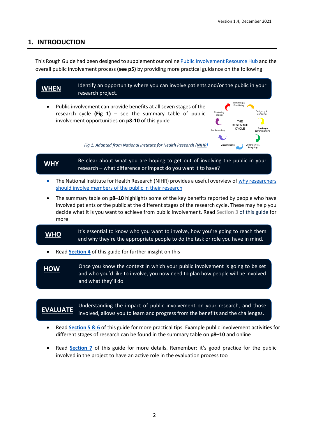# <span id="page-2-0"></span>**1. INTRODUCTION**

This Rough Guide had been designed to supplement our online [Public Involvement](https://www.imperial.ac.uk/patient-experience-research-centre/ppi/ppi-resource-hub/) Resource Hub and the overall public involvement process **(see p5)** by providing more practical guidance on the following:



involved, allows you to learn and progress from the benefits and the challenges.

- Read **[Section 5 &](#page-17-0) 6** of this guide for more practical tips. Example public involvement activities for different stages of research can be found in the summary table on **p8–10** and online
- Read **[Section 7](#page-25-0)** of this guide for more details. Remember: it's good practice for the public involved in the project to have an active role in the evaluation process too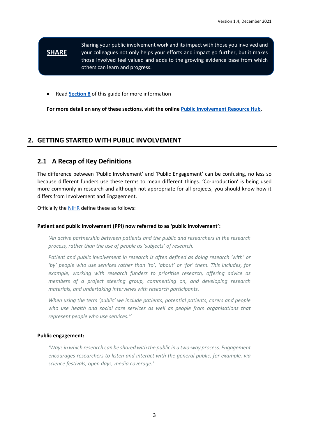#### Sharing your public involvement work and its impact with those you involved and your colleagues not only helps your efforts and impact go further, but it makes those involved feel valued and adds to the growing evidence base from which others can learn and progress. **SHARE**

• Read **[Section 8](#page-27-0)** of this guide for more information

**For more detail on any of these sections, visit the online [Public Involvement](https://www.imperial.ac.uk/patient-experience-research-centre/ppi/ppi-resource-hub/) Resource Hub.**

# **2. GETTING STARTED WITH PUBLIC INVOLVEMENT**

# <span id="page-3-0"></span>**2.1 A Recap of Key Definitions**

The difference between 'Public Involvement' and 'Public Engagement' can be confusing, no less so because different funders use these terms to mean different things. 'Co-production' is being used more commonly in research and although not appropriate for all projects, you should know how it differs from Involvement and Engagement.

Officially the [NIHR](https://www.nihr.ac.uk/about-us/glossary.htm?letter=P&postcategory=-1) define these as follows:

## **Patient and public involvement (PPI) now referred to as 'public involvement':**

*'An active partnership between patients and the public and researchers in the research process, rather than the use of people as 'subjects' of research.* 

*Patient and public involvement in research is often defined as doing research 'with' or 'by' people who use services rather than 'to', 'about' or 'for' them. This includes, for example, working with research funders to prioritise research, offering advice as members of a project steering group, commenting on, and developing research materials, and undertaking interviews with research participants.* 

*When using the term 'public' we include patients, potential patients, carers and people who use health and social care services as well as people from organisations that represent people who use services.''*

## **Public engagement:**

*'Ways in which research can be shared with the public in a two-way process. Engagement encourages researchers to listen and interact with the general public, for example, via science festivals, open days, media coverage.'*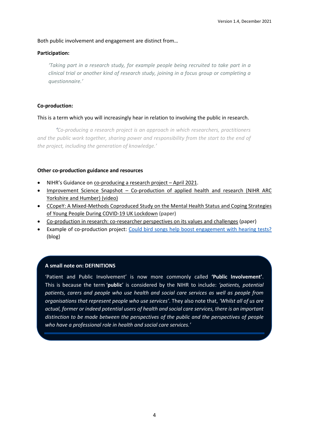## Both public involvement and engagement are distinct from…

## **Participation:**

*'Taking part in a research study, for example people being recruited to take part in a clinical trial or another kind of research study, joining in a focus group or completing a questionnaire.'*

## **Co-production:**

## This is a term which you will increasingly hear in relation to involving the public in research.

*'Co-producing a research project is an approach in which researchers, practitioners and the public work together, sharing power and responsibility from the start to the end of the project, including the generation of knowledge.'*

## **Other co-production guidance and resources**

- NIHR's Guidance on [co-producing a research project](https://www.learningforinvolvement.org.uk/wp-content/uploads/2021/04/NIHR-Guidance-on-co-producing-a-research-project-April-2021.pdf)  April 2021.
- Improvement Science Snapshot [Co-production of applied health and research \(NIHR ARC](https://www.youtube.com/watch?v=24o5w_egPoE)  [Yorkshire and Humber\) \(video\)](https://www.youtube.com/watch?v=24o5w_egPoE)
- [CCopeY: A Mixed-Methods Coproduced Study on the Mental Health Status and Coping Strategies](https://pubmed.ncbi.nlm.nih.gov/33589305/)  [of Young People During COVID-19 UK Lockdown](https://pubmed.ncbi.nlm.nih.gov/33589305/) (paper)
- [Co-production in research: co-researcher perspectives on its values and challenges](https://journals.sagepub.com/doi/full/10.1177/0308022620929542) (paper)
- Example of co-production project: [Could bird songs help boost engagement with hearing tests?](https://www.imperial.ac.uk/news/190086/could-bird-songs-help-boost-engagement/) (blog)

## **A small note on: DEFINITIONS**

'Patient and Public Involvement' is now more commonly called **'Public Involvement'**. This is because the term '**public**' is considered by the NIHR to include: *'patients, potential patients, carers and people who use health and social care services as well as people from organisations that represent people who use services'*. They also note that, *'Whilst all of us are actual, former or indeed potential users of health and social care services, there is an important distinction to be made between the perspectives of the public and the perspectives of people who have a professional role in health and social care services.'*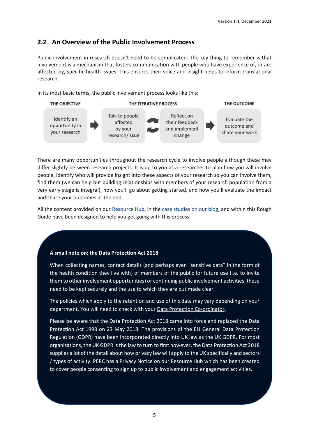# <span id="page-5-0"></span>**2.2 An Overview of the Public Involvement Process**

Public involvement in research doesn't need to be complicated. The key thing to remember is that involvement is a mechanism that fosters communication with people who have experience of, or are affected by, specific health issues. This ensures their voice and insight helps to inform translational research.

In its most basic terms, the public involvement process looks like this:



There are many opportunities throughout the research cycle to involve people although these may differ slightly between research projects. It is up to you as a researcher to plan how you will involve people, identify who will provide insight into these aspects of your research so you can involve them, find them (we can help but building relationships with members of your research population from a very early stage is integral), how you'll go about getting started, and how you'll evaluate the impact and share your outcomes at the end.

All the content provided on our [Resource Hub,](https://www.imperial.ac.uk/patient-experience-research-centre/ppi/ppi-resource-hub/) in the [case studies on our blog,](http://wwwf.imperial.ac.uk/blog/perc/category/case-studies/) and within this Rough Guide have been designed to help you get going with this process.

# **A small note on: the Data Protection Act 2018**

When collecting names, contact details (and perhaps even "sensitive data" in the form of the health condition they live with) of members of the public for future use (i.e. to invite them to other involvement opportunities) or continuing public involvement activities, these need to be kept securely and the use to which they are put made clear.

The policies which apply to the retention and use of this data may vary depending on your department. You will need to check with your [Data Protection Co-ordinator.](https://www.imperial.ac.uk/admin-services/secretariat/information-governance/data-protection/data-protection-co-ordinators/)

Please be aware that the Data Protection Act 2018 came into force and replaced the Data Protection Act 1998 on 23 May 2018. The provisions of the EU General Data Protection Regulation (GDPR) have been incorporated directly into UK law as the UK GDPR. For most organisations, the UK GDPR is the law to turn to first however, the Data Protection Act 2018 supplies a lot of the detail about how privacy law will apply to the UK specifically and sectors / types of activity. PERC has a Privacy Notice on our Resource Hub which has been created to cover people consenting to sign up to public involvement and engagement activities.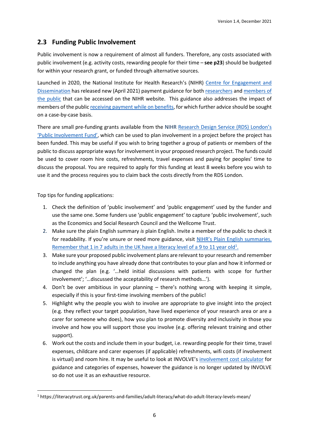# <span id="page-6-0"></span>**2.3 Funding Public Involvement**

Public involvement is now a requirement of almost all funders. Therefore, any costs associated with public involvement (e.g. activity costs, rewarding people for their time – **see p23**) should be budgeted for within your research grant, or funded through alternative sources.

Launched in 2020, the National Institute for Health Research's (NIHR) [Centre for Engagement and](https://www.nihr.ac.uk/news/nihr-launches-new-centre-for-engagement-and-dissemination/24576)  [Dissemination](https://www.nihr.ac.uk/news/nihr-launches-new-centre-for-engagement-and-dissemination/24576) has released new (April 2021) payment guidance for bot[h researchers](https://www.nihr.ac.uk/documents/payment-guidance-for-researchers-and-professionals/27392) an[d members of](https://www.nihr.ac.uk/documents/centre-for-engagement-and-dissemination-recognition-payments-for-public-contributors/24979)  [the public](https://www.nihr.ac.uk/documents/centre-for-engagement-and-dissemination-recognition-payments-for-public-contributors/24979) that can be accessed on the NIHR website. This guidance also addresses the impact of members of the public [receiving payment while on benefits,](https://www.nihr.ac.uk/documents/welfare-benefits-jobcentre-letter/27407) for which further advice should be sought on a case-by-case basis.

There are small pre-funding grants available from the NIHR [Research Design Service \(RDS\) London](https://www.rds-london.nihr.ac.uk/patient-public-involvement/enabling-involvement-fund/)'s 'Public [Involvement Fund](https://www.rds-london.nihr.ac.uk/patient-public-involvement/enabling-involvement-fund/)', which can be used to plan involvement in a project before the project has been funded. This may be useful if you wish to bring together a group of patients or members of the public to discuss appropriate ways for involvement in your proposed research project. The funds could be used to cover room hire costs, refreshments, travel expenses and paying for peoples' time to discuss the proposal. You are required to apply for this funding at least 8 weeks before you wish to use it and the process requires you to claim back the costs directly from the RDS London.

Top tips for funding applications:

- 1. Check the definition of 'public involvement' and 'public engagement' used by the funder and use the same one. Some funders use 'public engagement' to capture 'public involvement', such as the Economics and Social Research Council and the Wellcome Trust.
- 2. Make sure the plain English summary *is* plain English. Invite a member of the public to check it for readability. If you're unsure or need more guidance, visit NIHR's [Plain English summaries.](http://www.invo.org.uk/resource-centre/plain-english-summaries/) Remember that 1 in 7 adults in the UK have a literacy level of a 9 to 11 year old<sup>1</sup>.
- 3. Make sure your proposed public involvement plans are relevant to your research and remember to include anything you have already done that contributes to your plan and how it informed or changed the plan (e.g. '…held initial discussions with patients with scope for further involvement'; '…discussed the acceptability of research methods…').
- 4. Don't be over ambitious in your planning there's nothing wrong with keeping it simple, especially if this is your first-time involving members of the public!
- 5. Highlight why the people you wish to involve are appropriate to give insight into the project (e.g. they reflect your target population, have lived experience of your research area or are a carer for someone who does), how you plan to promote diversity and inclusivity in those you involve and how you will support those you involve (e.g. offering relevant training and other support).
- 6. Work out the costs and include them in your budget, i.e. rewarding people for their time, travel expenses, childcare and carer expenses (if applicable) refreshments, wifi costs (if involvement is virtual) and room hire. It may be useful to look at INVOLVE's [involvement cost calculator](http://www.invo.org.uk/resource-centre/payment-and-recognition-for-public-involvement/involvement-cost-calculator/) for guidance and categories of expenses, however the guidance is no longer updated by INVOLVE so do not use it as an exhaustive resource.

<sup>1</sup> https://literacytrust.org.uk/parents-and-families/adult-literacy/what-do-adult-literacy-levels-mean/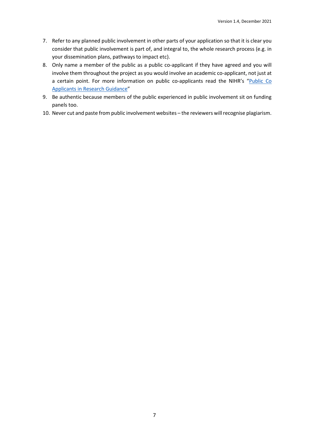- 7. Refer to any planned public involvement in other parts of your application so that it is clear you consider that public involvement is part of, and integral to, the whole research process (e.g. in your dissemination plans, pathways to impact etc).
- 8. Only name a member of the public as a public co-applicant if they have agreed and you will involve them throughout the project as you would involve an academic co-applicant, not just at a certain point. For more information on public co-applicants read the NIHR's "Public Co [Applicants in Research Guidance](https://www.learningforinvolvement.org.uk/?opportunity=public-co-applicants-in-research-guidance)"
- 9. Be authentic because members of the public experienced in public involvement sit on funding panels too.
- 10. Never cut and paste from public involvement websites the reviewers will recognise plagiarism.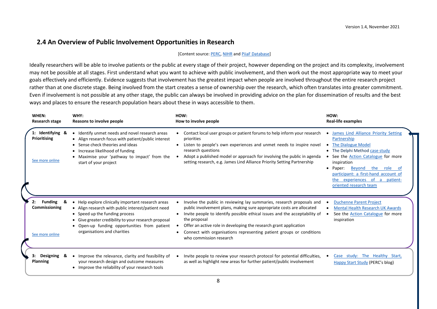# **2.4 An Overview of Public Involvement Opportunities in Research**

#### [Content source: [PERC,](https://www.imperial.ac.uk/patient-experience-research-centre/) [NIHR](https://www.nihr.ac.uk/patients-carers-and-the-public/i-want-to-help-with-research/) an[d PiiaF Database\]](http://piiaf.org.uk/documents/impacts-database.pdf)

Ideally researchers will be able to involve patients or the public at every stage of their project, however depending on the project and its complexity, involvement may not be possible at all stages. First understand what you want to achieve with public involvement, and then work out the most appropriate way to meet your goals effectively and efficiently. Evidence suggests that involvement has the greatest impact when people are involved throughout the entire research project rather than at one discrete stage. Being involved from the start creates a sense of ownership over the research, which often translates into greater commitment. Even if involvement is not possible at any other stage, the public can always be involved in providing advice on the plan for dissemination of results and the best ways and places to ensure the research population hears about these in ways accessible to them.

<span id="page-8-0"></span>

| WHEN:<br>Research stage                                  | WHY:<br>Reasons to involve people                                                                                                                                                                                                                                                 | HOW:<br>How to involve people                                                                                                                                                                                                                                                                                                                                                                                             | HOW:<br><b>Real-life examples</b>                                                                                                                                                                                                                                                                         |
|----------------------------------------------------------|-----------------------------------------------------------------------------------------------------------------------------------------------------------------------------------------------------------------------------------------------------------------------------------|---------------------------------------------------------------------------------------------------------------------------------------------------------------------------------------------------------------------------------------------------------------------------------------------------------------------------------------------------------------------------------------------------------------------------|-----------------------------------------------------------------------------------------------------------------------------------------------------------------------------------------------------------------------------------------------------------------------------------------------------------|
| 1: Identifying &<br>Prioritising<br>See more online      | Identify unmet needs and novel research areas<br>• Align research focus with patient/public interest<br>Sense check theories and ideas<br>Increase likelihood of funding<br>Maximise your 'pathway to impact' from the<br>start of your project                                   | Contact local user groups or patient forums to help inform your research<br>priorities<br>Listen to people's own experiences and unmet needs to inspire novel<br>research questions<br>Adopt a published model or approach for involving the public in agenda<br>setting research, e.g. James Lind Alliance Priority Setting Partnership                                                                                  | <b>James Lind Alliance Priority Setting</b><br>Partnership<br>The Dialogue Model<br>• The Delphi Method case study<br>See the Action Catalogue for more<br>inspiration<br>Beyond the role of<br>Paper:<br>participant: a first-hand account of<br>the experiences of a patient-<br>oriented research team |
| <b>Funding</b><br>2:<br>Commissioning<br>See more online | • Help explore clinically important research areas<br>• Align research with public interest/patient need<br>• Speed up the funding process<br>• Give greater credibility to your research proposal<br>• Open-up funding opportunities from patient<br>organisations and charities | Involve the public in reviewing lay summaries, research proposals and<br>public involvement plans, making sure appropriate costs are allocated<br>Invite people to identify possible ethical issues and the acceptability of<br>the proposal<br>Offer an active role in developing the research grant application<br>Connect with organisations representing patient groups or conditions<br>٠<br>who commission research | <b>Duchenne Parent Project</b><br><b>Mental Health Research UK Awards</b><br>See the <b>Action Catalogue</b> for more<br>inspiration                                                                                                                                                                      |
| 3:<br>Designing<br>&<br>Planning                         | Improve the relevance, clarity and feasibility of<br>your research design and outcome measures<br>• Improve the reliability of your research tools                                                                                                                                | Invite people to review your research protocol for potential difficulties,<br>as well as highlight new areas for further patient/public involvement                                                                                                                                                                                                                                                                       | Case study: The Healthy Start,<br>Happy Start Study (PERC's blog)                                                                                                                                                                                                                                         |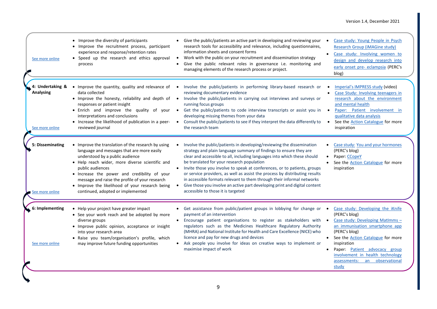| See more online                                         | • Improve the diversity of participants<br>• Improve the recruitment process, participant<br>experience and response/retention rates<br>• Speed up the research and ethics approval<br>process                                                                                                                                                                                                       | Give the public/patients an active part in developing and reviewing your<br>research tools for accessibility and relevance, including questionnaires,<br>information sheets and consent forms<br>Work with the public on your recruitment and dissemination strategy<br>$\bullet$<br>Give the public relevant roles in governance i.e. monitoring and<br>managing elements of the research process or project.                                                                                                                                                                                                                                | Case study: Young People in Psych<br><b>Research Group (iMAGine study)</b><br>Case study: Involving women to<br>design and develop research into<br>early onset pre- eclampsia (PERC's<br>blog)                                                                                                                       |
|---------------------------------------------------------|------------------------------------------------------------------------------------------------------------------------------------------------------------------------------------------------------------------------------------------------------------------------------------------------------------------------------------------------------------------------------------------------------|-----------------------------------------------------------------------------------------------------------------------------------------------------------------------------------------------------------------------------------------------------------------------------------------------------------------------------------------------------------------------------------------------------------------------------------------------------------------------------------------------------------------------------------------------------------------------------------------------------------------------------------------------|-----------------------------------------------------------------------------------------------------------------------------------------------------------------------------------------------------------------------------------------------------------------------------------------------------------------------|
| 4: Undertaking &<br><b>Analysing</b><br>See more online | Improve the quantity, quality and relevance of •<br>$\bullet$<br>data collected<br>• Improve the honesty, reliability and depth of .<br>responses or patient insight<br>• Enrich and improve the quality of your •<br>interpretations and conclusions<br>• Increase the likelihood of publication in a peer-<br>reviewed journal                                                                     | Involve the public/patients in performing library-based research or<br>reviewing documentary evidence<br>Involve the public/patients in carrying out interviews and surveys or<br>running focus groups<br>Get the public/patients to code interview transcripts or assist you in<br>developing missing themes from your data<br>Consult the public/patients to see if they interpret the data differently to<br>$\bullet$<br>the research team                                                                                                                                                                                                | Imperial's IMPRESS study (video)<br>Case Study: Involving teenagers in<br>research about the environment<br>and mental health<br>Paper: Patient involvement in<br>qualitative data analysis<br>See the <b>Action Catalogue</b> for more<br>inspiration                                                                |
| 5: Disseminating<br>See more online                     | • Improve the translation of the research by using<br>language and messages that are more easily<br>understood by a public audience<br>• Help reach wider, more diverse scientific and<br>public audiences<br>• Increase the power and credibility of your<br>message and raise the profile of your research<br>• Improve the likelihood of your research being<br>continued, adopted or implemented | Involve the public/patients in developing/reviewing the dissemination<br>strategy and plain language summary of findings to ensure they are<br>clear and accessible to all, including languages into which these should<br>be translated for your research population<br>• Invite those you involve to speak at conferences, or to patients, groups<br>or service providers, as well as assist the process by distributing results<br>in accessible formats relevant to them through their informal networks<br>Give those you involve an active part developing print and digital content<br>$\bullet$<br>accessible to those it is targeted | Case study: You and your hormones<br>(PERC's blog)<br>Paper: CCopeY<br>$\bullet$<br>See the <b>Action Catalogue</b> for more<br>inspiration                                                                                                                                                                           |
| 6: Implementing<br>See more online                      | • Help your project have greater impact<br>• See your work reach and be adopted by more<br>diverse groups<br>• Improve public opinion, acceptance or insight<br>into your research area<br>· Raise you team/organisation's profile, which<br>may improve future funding opportunities                                                                                                                | Get assistance from public/patient groups in lobbying for change or<br>$\bullet$<br>payment of an intervention<br>• Encourage patient organisations to register as stakeholders with .<br>regulators such as the Medicines Healthcare Regulatory Authority<br>(MHRA) and National Institute for Health and Care Excellence (NICE) who<br>licence and pay for new drugs and devices<br>Ask people you involve for ideas on creative ways to implement or<br>maximise impact of work                                                                                                                                                            | Case study: Developing the iKnife<br>(PERC's blog)<br>Case study: Developing MatImms -<br>an immunisation smartphone app<br>(PERC's blog)<br>• See the <b>Action Catalogue</b> for more<br>inspiration<br>Paper: Patient advocacy group<br>involvement in health technology<br>assessments: an observational<br>study |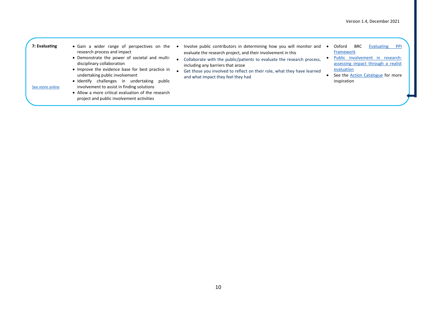#### **7: Evaluating**

See more [online](https://www.imperial.ac.uk/patient-experience-research-centre/ppi/ppi-resource-hub/implementing_evaluating/)

- research process and impact
	- Demonstrate the power of societal and multidisciplinary collaboration
	- Improve the evidence base for best practice in undertaking public involvement
	- Identify challenges in undertaking public involvement to assist in finding solutions
	- Allow a more critical evaluation of the research project and public involvement activities
- Gain a wider range of perspectives on the Involve public contributors in determining how you will monitor and Oxford BRC Evaluating PPI evaluate the research project, and their involvement in this
	- Collaborate with the public/patients to evaluate the research process, including any barriers that arose
	- Get those you involved to reflect on their role, what they have learned and what impact they feel they had
- [Framework](https://oxfordhealthbrc.nihr.ac.uk/patient-and-public-involvement/ppi-strategy/evaluating-patient-and-public-involvement/)
- [Public involvement in research:](https://www.ncbi.nlm.nih.gov/books/NBK260168/)  [assessing impact through a realist](https://www.ncbi.nlm.nih.gov/books/NBK260168/)  [evaluation](https://www.ncbi.nlm.nih.gov/books/NBK260168/)
- See the [Action Catalogue](http://actioncatalogue.eu/) for more inspiration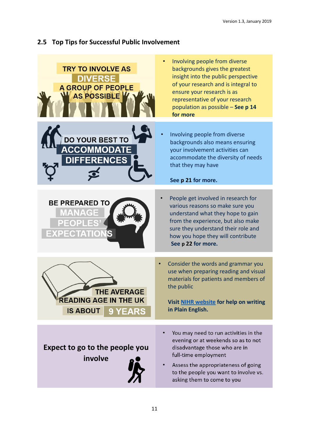# <span id="page-11-0"></span>**2.5 Top Tips for Successful Public Involvement**

| <b>TRY TO INVOLVE AS</b><br><b>DIVERSE</b><br><b>A GROUP OF PEOPLE</b><br>AS POSSIBLE | Involving people from diverse<br>backgrounds gives the greatest<br>insight into the public perspective<br>of your research and is integral to<br>ensure your research is as<br>representative of your research<br>population as possible - See p 14<br>for more |
|---------------------------------------------------------------------------------------|-----------------------------------------------------------------------------------------------------------------------------------------------------------------------------------------------------------------------------------------------------------------|
| <b>DO YOUR BEST TO</b><br><b>ACCOMMODATE</b><br><b>DIFFERENCES</b>                    | Involving people from diverse<br>backgrounds also means ensuring<br>your involvement activities can<br>accommodate the diversity of needs<br>that they may have<br>See p 21 for more.                                                                           |
| <b>BE PREPARED TO</b><br><b>MANAG</b><br><b>PEOPLE</b><br><b>EXPECTATIONS</b>         | People get involved in research for<br>various reasons so make sure you<br>understand what they hope to gain<br>from the experience, but also make<br>sure they understand their role and<br>how you hope they will contribute<br>See p 22 for more.            |
| THE AVERAGE<br><b>READING AGE IN THE UK</b><br><b>IS ABOUT</b><br><b>9 YEARS</b>      | Consider the words and grammar you<br>use when preparing reading and visual<br>materials for patients and members of<br>the public<br>Visit NIHR website for help on writing<br>in Plain English.                                                               |
| Expect to go to the people you<br>involve                                             | You may need to run activities in the<br>evening or at weekends so as to not<br>disadvantage those who are in<br>full-time employment<br>Assess the appropriateness of going<br>to the people you want to involve vs.<br>asking them to come to you             |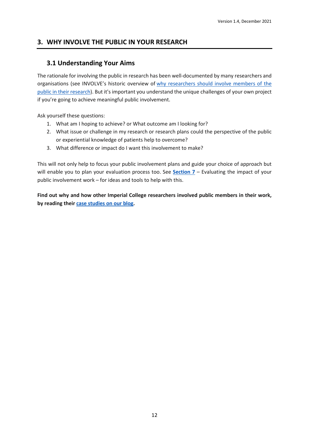# <span id="page-12-0"></span>**3. WHY INVOLVE THE PUBLIC IN YOUR RESEARCH**

# **3.1 Understanding Your Aims**

The rationale for involving the public in research has been well-documented by many researchers and organisations (see INVOLVE's historic overview of why [researchers](http://www.invo.org.uk/posttyperesource/why-should-members-of-the-public-be-involved-in-research/) should involve members of the public in their [research\)](http://www.invo.org.uk/posttyperesource/why-should-members-of-the-public-be-involved-in-research/). But it's important you understand the unique challenges of your own project if you're going to achieve meaningful public involvement.

Ask yourself these questions:

- 1. What am I hoping to achieve? or What outcome am I looking for?
- 2. What issue or challenge in my research or research plans could the perspective of the public or experiential knowledge of patients help to overcome?
- 3. What difference or impact do I want this involvement to make?

This will not only help to focus your public involvement plans and guide your choice of approach but will enable you to plan your evaluation process too. See **[Section](#page-25-0) 7** – Evaluating the impact of your public involvement work – for ideas and tools to help with this.

**Find out why and how other Imperial College researchers involved public members in their work, by reading their case [studies](http://wwwf.imperial.ac.uk/blog/perc/category/case-studies/) on our blog.**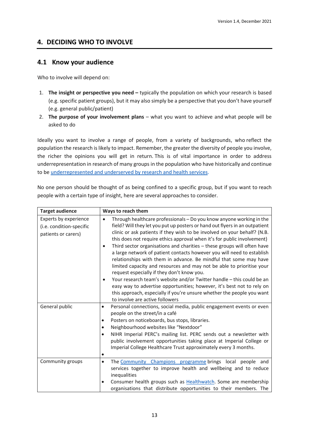# **4. DECIDING WHO TO INVOLVE**

# <span id="page-13-0"></span>**4.1 Know your audience**

Who to involve will depend on:

- 1. **The insight or perspective you need –** typically the population on which your research is based (e.g. specific patient groups), but it may also simply be a perspective that you don't have yourself (e.g. general public/patient)
- 2. **The purpose of your involvement plans** what you want to achieve and what people will be asked to do

Ideally you want to involve a range of people, from a variety of backgrounds, who reflect the population the research is likely to impact. Remember, the greater the diversity of people you involve, the richer the opinions you will get in return. This is of vital importance in order to address underrepresentation in research of many groups in the population who have historically and continue to be [underrepresented and underserved by research and health services.](https://www.nihr.ac.uk/documents/improving-inclusion-of-under-served-groups-in-clinical-research-guidance-from-include-project/25435)

No one person should be thought of as being confined to a specific group, but if you want to reach people with a certain type of insight, here are several approaches to consider.

| <b>Target audience</b>                                                   | Ways to reach them                                                                                                                                                                                                                                                                                                                                                                                                                                                                                                                                                                                                                                                                    |
|--------------------------------------------------------------------------|---------------------------------------------------------------------------------------------------------------------------------------------------------------------------------------------------------------------------------------------------------------------------------------------------------------------------------------------------------------------------------------------------------------------------------------------------------------------------------------------------------------------------------------------------------------------------------------------------------------------------------------------------------------------------------------|
| Experts by experience<br>(i.e. condition-specific<br>patients or carers) | Through healthcare professionals - Do you know anyone working in the<br>$\bullet$<br>field? Will they let you put up posters or hand out flyers in an outpatient<br>clinic or ask patients if they wish to be involved on your behalf? (N.B.<br>this does not require ethics approval when it's for public involvement)<br>Third sector organisations and charities - these groups will often have<br>$\bullet$<br>a large network of patient contacts however you will need to establish<br>relationships with them in advance. Be mindful that some may have<br>limited capacity and resources and may not be able to prioritise your<br>request especially if they don't know you. |
|                                                                          | Your research team's website and/or Twitter handle - this could be an<br>$\bullet$<br>easy way to advertise opportunities; however, it's best not to rely on<br>this approach, especially if you're unsure whether the people you want<br>to involve are active followers                                                                                                                                                                                                                                                                                                                                                                                                             |
| General public                                                           | Personal connections, social media, public engagement events or even<br>$\bullet$<br>people on the street/in a café<br>Posters on noticeboards, bus stops, libraries.<br>$\bullet$<br>Neighbourhood websites like "Nextdoor"<br>$\bullet$<br>NIHR Imperial PERC's mailing list. PERC sends out a newsletter with<br>$\bullet$<br>public involvement opportunities taking place at Imperial College or<br>Imperial College Healthcare Trust approximately every 3 months.<br>$\bullet$                                                                                                                                                                                                 |
| Community groups                                                         | The Community Champions programme brings local people and<br>$\bullet$<br>services together to improve health and wellbeing and to reduce<br>inequalities<br>Consumer health groups such as Healthwatch. Some are membership<br>$\bullet$<br>organisations that distribute opportunities to their members. The                                                                                                                                                                                                                                                                                                                                                                        |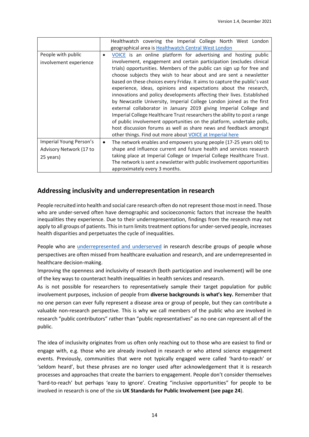|                                                                 | Healthwatch covering the Imperial College North West London<br>geographical area is Healthwatch Central West London                                                                                                                                                                                                                                                                                                                                                                                                                                                                                                                                                                                                                                                                                                                                                                                                                                 |  |  |
|-----------------------------------------------------------------|-----------------------------------------------------------------------------------------------------------------------------------------------------------------------------------------------------------------------------------------------------------------------------------------------------------------------------------------------------------------------------------------------------------------------------------------------------------------------------------------------------------------------------------------------------------------------------------------------------------------------------------------------------------------------------------------------------------------------------------------------------------------------------------------------------------------------------------------------------------------------------------------------------------------------------------------------------|--|--|
| People with public<br>involvement experience                    | VOICE is an online platform for advertising and hosting public<br>involvement, engagement and certain participation (excludes clinical<br>trials) opportunities. Members of the public can sign up for free and<br>choose subjects they wish to hear about and are sent a newsletter<br>based on these choices every Friday. It aims to capture the public's vast<br>experience, ideas, opinions and expectations about the research,<br>innovations and policy developments affecting their lives. Established<br>by Newcastle University, Imperial College London joined as the first<br>external collaborator in January 2019 giving Imperial College and<br>Imperial College Healthcare Trust researchers the ability to post a range<br>of public involvement opportunities on the platform, undertake polls,<br>host discussion forums as well as share news and feedback amongst<br>other things. Find out more about VOICE at Imperial here |  |  |
| Imperial Young Person's<br>Advisory Network (17 to<br>25 years) | The network enables and empowers young people (17-25 years old) to<br>٠<br>shape and influence current and future health and services research<br>taking place at Imperial College or Imperial College Healthcare Trust.<br>The network is sent a newsletter with public involvement opportunities<br>approximately every 3 months.                                                                                                                                                                                                                                                                                                                                                                                                                                                                                                                                                                                                                 |  |  |

# <span id="page-14-0"></span>**Addressing inclusivity and underrepresentation in research**

People recruited into health and social care research often do not represent those most in need. Those who are under-served often have demographic and socioeconomic factors that increase the health inequalities they experience. Due to their underrepresentation, findings from the research may not apply to all groups of patients. This in turn limits treatment options for under-served people, increases health disparities and perpetuates the cycle of inequalities.

People who are [underrepresented and underserved](https://www.nihr.ac.uk/documents/improving-inclusion-of-under-served-groups-in-clinical-research-guidance-from-include-project/25435) in research describe groups of people whose perspectives are often missed from healthcare evaluation and research, and are underrepresented in healthcare decision-making.

Improving the openness and inclusivity of research (both participation and involvement) will be one of the key ways to counteract health inequalities in health services and research.

As is not possible for researchers to representatively sample their target population for public involvement purposes, inclusion of people from **diverse backgrounds is what's key.** Remember that no one person can ever fully represent a disease area or group of people, but they can contribute a valuable non-research perspective. This is why we call members of the public who are involved in research "public contributors" rather than "public representatives" as no one can represent all of the public.

The idea of inclusivity originates from us often only reaching out to those who are easiest to find or engage with, e.g. those who are already involved in research or who attend science engagement events. Previously, communities that were not typically engaged were called 'hard-to-reach' or 'seldom heard', but these phrases are no longer used after acknowledgement that it is research processes and approaches that create the barriers to engagement. People don't consider themselves 'hard-to-reach' but perhaps 'easy to ignore'. Creating "inclusive opportunities" for people to be involved in research is one of the six **UK Standards for Public Involvement (see page 24**).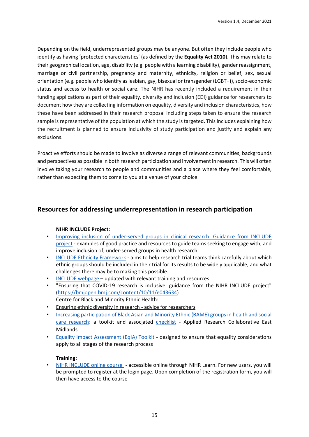Depending on the field, underrepresented groups may be anyone. But often they include people who identify as having 'protected characteristics' (as defined by the **Equality Act 2010**). This may relate to their geographical location, age, disability (e.g. people with a learning disability), gender reassignment, marriage or civil partnership, pregnancy and maternity, ethnicity, religion or belief, sex, sexual orientation (e.g. people who identify as lesbian, gay, bisexual or transgender (LGBT+)), socio-economic status and access to health or social care. The NIHR has recently included a requirement in their funding applications as part of their equality, diversity and inclusion (EDI) guidance for researchers to document how they are collecting information on equality, diversity and inclusion characteristics, how these have been addressed in their research proposal including steps taken to ensure the research sample is representative of the population at which the study is targeted. This includes explaining how the recruitment is planned to ensure inclusivity of study participation and justify and explain any exclusions.

Proactive efforts should be made to involve as diverse a range of relevant communities, backgrounds and perspectives as possible in both research participation and involvement in research. This will often involve taking your research to people and communities and a place where they feel comfortable, rather than expecting them to come to you at a venue of your choice.

# **Resources for addressing underrepresentation in research participation**

# **NIHR INCLUDE Project:**

- [Improving inclusion of under-served groups in clinical research: Guidance from INCLUDE](https://www.nihr.ac.uk/documents/improving-inclusion-of-under-served-groups-in-clinical-research-guidance-from-include-project/25435)  [project](https://www.nihr.ac.uk/documents/improving-inclusion-of-under-served-groups-in-clinical-research-guidance-from-include-project/25435) - examples of good practice and resources to guide teams seeking to engage with, and improve inclusion of, under-served groups in health research.
- [INCLUDE Ethnicity Framework](https://www.trialforge.org/trial-forge-centre/include/) aims to help research trial teams think carefully about which ethnic groups should be included in their trial for its results to be widely applicable, and what challenges there may be to making this possible.
- [INCLUDE webpage](https://sites.google.com/nihr.ac.uk/include/home) updated with relevant training and resources
- "Ensuring that COVID-19 research is inclusive: guidance from the NIHR INCLUDE project" [\(https://bmjopen.bmj.com/content/10/11/e043634\)](https://bmjopen.bmj.com/content/10/11/e043634) Centre for Black and Minority Ethnic Health:
- Ensuring ethnic diversity in research advice for researchers
- [Increasing participation of Black Asian and Minority Ethnic \(BAME\) groups in health and social](http://arc-em.nihr.ac.uk/clahrcs-store/increasing-participation-black-asian-and-minority-ethnic-bame-groups-health-and-social)  [care research:](http://arc-em.nihr.ac.uk/clahrcs-store/increasing-participation-black-asian-and-minority-ethnic-bame-groups-health-and-social) a toolkit and asso[cia](https://centreforbmehealth.org.uk/wp-content/uploads/2020/07/Checklist_COVID_BME_v2.pdf)ted [checklist](https://centreforbmehealth.org.uk/wp-content/uploads/2020/07/Checklist_COVID_BME_v2.pdf) - Applied Research Collaborative East Midlands
- **[Equality Impact Assessment \(EqIA\) Toolkit](https://arc-em.nihr.ac.uk/news-events/news/mission-underway-open-research-all)** designed to ensure that equality considerations apply to all stages of the research process

# **Training:**

• [NIHR INCLUDE online course](https://learn.nihr.ac.uk/course/view.php?id=820) - accessible online through NIHR Learn. For new users, you will be prompted to register at the login page. Upon completion of the registration form, you will then have access to the course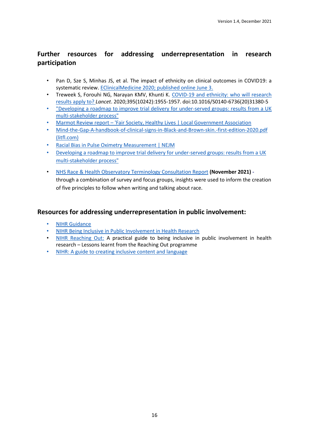# **Further resources for addressing underrepresentation in research participation**

- Pan D, Sze S, Minhas JS, et al. The impact of ethnicity on clinical outcomes in COVID19: a systematic review. [EClinicalMedicine](https://doi.org/10.1016/j.eclinm.2020.100404) [2020; published online June 3.](https://doi.org/10.1016/j.eclinm.2020.100404)
- Treweek S, Forouhi NG, Narayan KMV, Khunti K. [COVID-19 and ethnicity: who will research](https://www.ncbi.nlm.nih.gov/pmc/articles/PMC7292594/)  [results apply to?](https://www.ncbi.nlm.nih.gov/pmc/articles/PMC7292594/) *Lancet*. 2020;395(10242):1955-1957. doi:10.1016/S0140-6736(20)31380-5
- ["Developing a roadmap to improve trial delivery for under-served groups: results from a UK](https://trialsjournal.biomedcentral.com/articles/10.1186/s13063-020-04613-7)  [multi-stakeholder process"](https://trialsjournal.biomedcentral.com/articles/10.1186/s13063-020-04613-7)
- Marmot Review report ['Fair Society, Healthy Lives | Local Government Association](https://www.local.gov.uk/marmot-review-report-fair-society-healthy-lives)
- [Mind-the-Gap-A-handbook-of-clinical-signs-in-Black-and-Brown-skin.-first-edition-2020.pdf](https://litfl.com/wp-content/uploads/2020/09/Mind-the-Gap-A-handbook-of-clinical-signs-in-Black-and-Brown-skin.-first-edition-2020.pdf)  [\(litfl.com\)](https://litfl.com/wp-content/uploads/2020/09/Mind-the-Gap-A-handbook-of-clinical-signs-in-Black-and-Brown-skin.-first-edition-2020.pdf)
- [Racial Bias in Pulse Oximetry Measurement | NEJM](https://www.nejm.org/doi/full/10.1056/NEJMc2029240)
- [Developing a roadmap to improve trial delivery for under-served groups: results from a UK](https://trialsjournal.biomedcentral.com/articles/10.1186/s13063-020-04613-7)  [multi-stakeholder process"](https://trialsjournal.biomedcentral.com/articles/10.1186/s13063-020-04613-7)
- [NHS Race & Health Observatory Terminology Consultation Report](https://www.nhsrho.org/publications/nhs-race-health-observatory-terminology-consultation-report/) **(November 2021)**  through a combination of survey and focus groups, insights were used to inform the creation of five principles to follow when writing and talking about race.

# **Resources for addressing underrepresentation in public involvement:**

- **NIHR Guidance**
- [NIHR Being Inclusive in Public Involvement in Health Research](https://www.learningforinvolvement.org.uk/wp-content/uploads/2021/04/NIHR-Being-Inclusive-in-Public-Involvement-in-Health-and-Care-Research-April-2021.pdf)
- [NIHR Reaching Out:](https://arc-nenc.nihr.ac.uk/resources/nihr-reaching-out-a-practical-guide-to-being-inclusive-in-public-involvement-in-health-research/) A practical guide to being inclusive in public involvement in health research – Lessons learnt from the Reaching Out programme
- [NIHR: A guide to creating inclusive content and language](https://www.learningforinvolvement.org.uk/wp-content/uploads/2021/09/A-guide-to-creating-inclusive-content-and-language.pdf)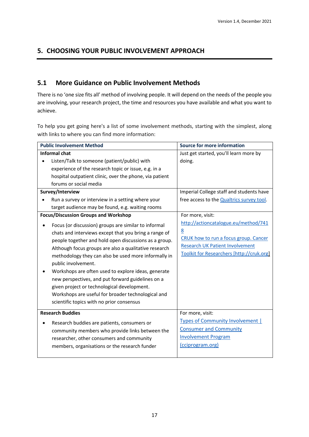# **5. CHOOSING YOUR PUBLIC INVOLVEMENT APPROACH**

# <span id="page-17-0"></span>**5.1 More Guidance on Public Involvement Methods**

There is no 'one size fits all' method of involving people. It will depend on the needs of the people you are involving, your research project, the time and resources you have available and what you want to achieve.

To help you get going here's a list of some involvement methods, starting with the simplest, along with links to where you can find more information:

| <b>Public Involvement Method</b>                                                                                                                                                                                                                                                                                                                                                                                                                                                                                                                                                                                                                                                                                                                                                                                                                                                                                                 | <b>Source for more information</b>                                                                                                                                                                                                                                                                                                                |
|----------------------------------------------------------------------------------------------------------------------------------------------------------------------------------------------------------------------------------------------------------------------------------------------------------------------------------------------------------------------------------------------------------------------------------------------------------------------------------------------------------------------------------------------------------------------------------------------------------------------------------------------------------------------------------------------------------------------------------------------------------------------------------------------------------------------------------------------------------------------------------------------------------------------------------|---------------------------------------------------------------------------------------------------------------------------------------------------------------------------------------------------------------------------------------------------------------------------------------------------------------------------------------------------|
| <b>Informal chat</b><br>Listen/Talk to someone (patient/public) with<br>experience of the research topic or issue, e.g. in a<br>hospital outpatient clinic, over the phone, via patient<br>forums or social media<br>Survey/Interview<br>Run a survey or interview in a setting where your<br>target audience may be found, e.g. waiting rooms<br><b>Focus/Discussion Groups and Workshop</b><br>Focus (or discussion) groups are similar to informal<br>chats and interviews except that you bring a range of<br>people together and hold open discussions as a group.<br>Although focus groups are also a qualitative research<br>methodology they can also be used more informally in<br>public involvement.<br>Workshops are often used to explore ideas, generate<br>new perspectives, and put forward guidelines on a<br>given project or technological development.<br>Workshops are useful for broader technological and | Just get started, you'll learn more by<br>doing.<br>Imperial College staff and students have<br>free access to the Qualtrics survey tool.<br>For more, visit:<br>http://actioncatalogue.eu/method/741<br>8<br>CRUK how to run a focus group. Cancer<br><b>Research UK Patient Involvement</b><br><b>Toolkit for Researchers [http://cruk.org]</b> |
| scientific topics with no prior consensus<br><b>Research Buddies</b><br>Research buddies are patients, consumers or<br>community members who provide links between the<br>researcher, other consumers and community<br>members, organisations or the research funder                                                                                                                                                                                                                                                                                                                                                                                                                                                                                                                                                                                                                                                             | For more, visit:<br><b>Types of Community Involvement  </b><br><b>Consumer and Community</b><br><b>Involvement Program</b><br>(cciprogram.org)                                                                                                                                                                                                    |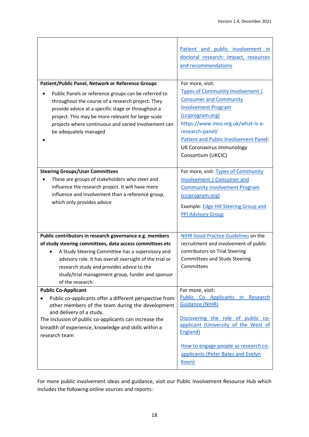|                                                                                               | Patient and public involvement in            |
|-----------------------------------------------------------------------------------------------|----------------------------------------------|
|                                                                                               | doctoral research: Impact, resources         |
|                                                                                               | and recommendations                          |
|                                                                                               |                                              |
| Patient/Public Panel, Network or Reference Groups                                             | For more, visit:                             |
| Public Panels or reference groups can be referred to                                          | <b>Types of Community Involvement  </b>      |
| throughout the course of a research project. They                                             | <b>Consumer and Community</b>                |
| provide advice at a specific stage or throughout a                                            | <b>Involvement Program</b>                   |
| project. This may be more relevant for large-scale                                            | (cciprogram.org)                             |
| projects where continuous and varied involvement can                                          | https://www.invo.org.uk/what-is-a-           |
| be adequately managed                                                                         | research-panel/                              |
|                                                                                               | <b>Patient and Public Involvement Panel:</b> |
|                                                                                               | UK Coronavirus Immunology                    |
|                                                                                               | Consortium (UKCIC)                           |
|                                                                                               |                                              |
| <b>Steering Groups/User Committees</b>                                                        | For more, visit: Types of Community          |
| These are groups of stakeholders who steer and                                                | Involvement   Consumer and                   |
| influence the research project. It will have more                                             | <b>Community Involvement Program</b>         |
| influence and involvement than a reference group,                                             | (cciprogram.org)                             |
| which only provides advice                                                                    | Example: Edge Hill Steering Group and        |
|                                                                                               | <b>PPI Advisory Group</b>                    |
|                                                                                               |                                              |
|                                                                                               |                                              |
| Public contributors in research governance e.g. members                                       | NIHR Good Practice Guidelines on the         |
| of study steering committees, data access committees etc                                      | recruitment and involvement of public        |
| A Study Steering Committee has a supervisory and                                              | contributors on Trial Steering               |
| advisory role. It has overall oversight of the trial or                                       | Committees and Study Steering<br>Committees  |
| research study and provides advice to the<br>study/trial management group, funder and sponsor |                                              |
| of the research.                                                                              |                                              |
| <b>Public Co-Applicant</b>                                                                    | For more, visit:                             |
| Public co-applicants offer a different perspective from                                       | Public Co Applicants in Research             |
| other members of the team during the development                                              | <b>Guidance (NIHR)</b>                       |
| and delivery of a study.                                                                      |                                              |
| The inclusion of public co-applicants can increase the                                        | Discovering the role of public co-           |
| breadth of experience, knowledge and skills within a                                          | applicant (University of the West of         |
| research team                                                                                 | England)                                     |
|                                                                                               | How to engage people as research co-         |
|                                                                                               | applicants (Peter Bates and Evelyn           |
|                                                                                               | Koon)                                        |
|                                                                                               |                                              |

For more public involvement ideas and guidance, visit our Public Involvement Resource Hub which includes the following online sources and reports: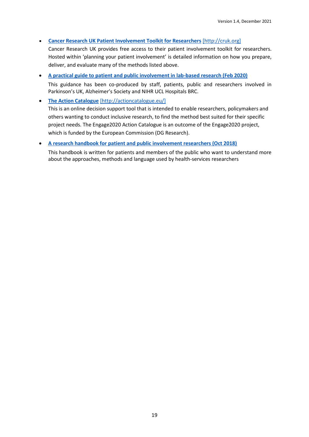• **[Cancer Research UK Patient Involvement Toolkit for Researchers](https://www.cancerresearchuk.org/funding-for-researchers/patient-involvement-toolkit-for-researchers)** [\[http://cruk.org\]](http://www.cancerresearchuk.org/funding-for-researchers/patient-and-public-involvement-ppi-toolkit-for-researchers)

Cancer Research UK provides free access to their patient involvement toolkit for researchers. Hosted within 'planning your patient involvement' is detailed information on how you prepare, deliver, and evaluate many of the methods listed above.

• **[A practical guide to patient and public involvement in lab-based research \(Feb 2020\)](https://sites.google.com/parkinsons.org.uk/ppi-in-lab-based-research/home)** This guidance has been co-produced by staff, patients, public and researchers involved in Parkinson's UK, Alzheimer's Society and NIHR UCL Hospitals BRC.

• **[The Action Catalogue](http://actioncatalogue.eu/)** [\[http://actioncatalogue.eu/\]](http://actioncatalogue.eu/)

This is an online decision support tool that is intended to enable researchers, policymakers and others wanting to conduct inclusive research, to find the method best suited for their specific project needs. The Engage2020 Action Catalogue is an outcome of the Engage2020 project, which is funded by the European Commission (DG Research).

## • **[A research handbook for patient and public involvement researchers \(Oct 2018\)](https://www.manchesteropenhive.com/view/9781526136527/9781526136527.xml?rskey=CKcnUn&result=2)**

This handbook is written for patients and members of the public who want to understand more about the approaches, methods and language used by health-services researchers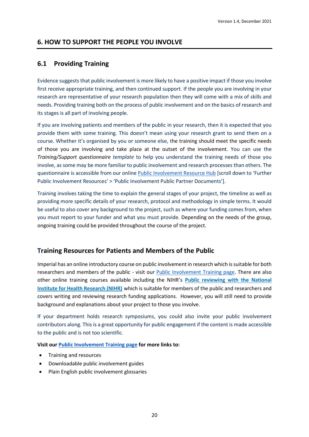# <span id="page-20-0"></span>**6. HOW TO SUPPORT THE PEOPLE YOU INVOLVE**

# **6.1 Providing Training**

Evidence suggests that public involvement is more likely to have a positive impact if those you involve first receive appropriate training, and then continued support. If the people you are involving in your research are representative of your research population then they will come with a mix of skills and needs. Providing training both on the process of public involvement and on the basics of research and its stages is all part of involving people.

If you are involving patients and members of the public in your research, then it is expected that you provide them with some training. This doesn't mean using your research grant to send them on a course. Whether it's organised by you or someone else, the training should meet the specific needs of those you are involving and take place at the outset of the involvement. You can use the *Training/Support questionnaire template* to help you understand the training needs of those you involve, as some may be more familiar to public involvement and research processes than others. The questionnaire is accessible from our onlin[e Public Involvement](https://www.imperial.ac.uk/patient-experience-research-centre/ppi/ppi-resource-hub/implementing_evaluating/) Resource Hub [scroll down to 'Further Public Involvement Resources' > 'Public Involvement Public Partner Documents'].

Training involves taking the time to explain the general stages of your project, the timeline as well as providing more specific details of your research, protocol and methodology in simple terms. It would be useful to also cover any background to the project, such as where your funding comes from, when you must report to your funder and what you must provide. Depending on the needs of the group, ongoing training could be provided throughout the course of the project.

# **Training Resources for Patients and Members of the Public**

Imperial has an online introductory course on public involvement in research which is suitable for both researchers and members of the public - visit our [Public Involvement Training page.](http://www.imperial.ac.uk/patient-experience-research-centre/ppi/ppi-training/) There are also other online training courses available including the NIHR's **Public [reviewing](http://www.invo.org.uk/resource-centre/learning-and-development/public-reviewing-with-the-national-institute-for-health-research-nihr/#top) with the National Institute for Health [Research](http://www.invo.org.uk/resource-centre/learning-and-development/public-reviewing-with-the-national-institute-for-health-research-nihr/#top) (NIHR)** which is suitable for members of the public and researchers and covers writing and reviewing research funding applications. However, you will still need to provide background and explanations about your project to those you involve.

If your department holds research symposiums, you could also invite your public involvement contributors along. This is a great opportunity for public engagement if the content is made accessible to the public and is not too scientific.

**Visit our [Public Involvement](http://www.imperial.ac.uk/patient-experience-research-centre/ppi/ppi-training/) Training page for more links to:**

- Training and resources
- Downloadable public involvement guides
- Plain English public involvement glossaries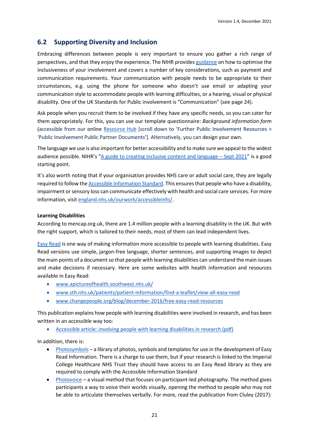# <span id="page-21-0"></span>**6.2 Supporting Diversity and Inclusion**

Embracing differences between people is very important to ensure you gather a rich range of perspectives, and that they enjoy the experience. The NIHR provide[s guidance](https://www.nihr.ac.uk/documents/strengthening-our-commitment-to-equality-diversity-inclusion-and-patient-and-public-involvement-and-engagement-ppie/24697) on how to optimise the inclusiveness of your involvement and covers a number of key considerations, such as payment and communication requirements. Your communication with people needs to be appropriate to their circumstances, e.g. using the phone for someone who doesn't use email or adapting your communication style to accommodate people with learning difficulties, or a hearing, visual or physical disability. One of the UK Standards for Public involvement is "Communication" (see page 24).

Ask people when you recruit them to be involved if they have any specific needs, so you can cater for them appropriately. For this, you can use our template questionnaire: *Background information form* (accessible from our online [Resource Hub](https://www.imperial.ac.uk/patient-experience-research-centre/ppi/ppi-resource-hub/implementing_evaluating/) [scroll down to 'Further Public Involvement Resources > 'Public Involvement Public Partner Documents']. Alternatively, you can design your own.

The language we use is also important for better accessibility and to make sure we appeal to the widest audience possible. NIHR's "[A guide to creating inclusive content and language](https://www.learningforinvolvement.org.uk/wp-content/uploads/2021/09/A-guide-to-creating-inclusive-content-and-language.pdf) – Sept 2021" is a good starting point.

It's also worth noting that if your organisation provides NHS care or adult social care, they are legally required to follow th[e Accessible Information Standard.](https://www.england.nhs.uk/ourwork/accessibleinfo/) This ensuresthat people who have a disability, impairment or sensory loss can communicate effectively with health and social care services. For more information, visit [england.nhs.uk/ourwork/accessibleinfo/.](http://www.england.nhs.uk/ourwork/accessibleinfo/)

## **Learning Disabilities**

According to mencap.org.uk, there are 1.4 million people with a learning disability in the UK. But with the right support, which is tailored to their needs, most of them can lead independent lives.

[Easy Read](http://www.easy-read-online.co.uk/) is one way of making information more accessible to people with learning disabilities. Easy Read versions use simple, jargon-free language, shorter sentences, and supporting images to depict the main points of a document so that people with learning disabilities can understand the main issues and make decisions if necessary. Here are some websites with health information and resources available in Easy Read:

- [www.apictureofhealth.southwest.nhs.uk/](http://www.apictureofhealth.southwest.nhs.uk/)
- [www.sth.nhs.uk/patients/patient-information/find-a-leaflet/view-all-easy-read](http://www.sth.nhs.uk/patients/patient-information/find-a-leaflet/view-all-easy-read)
- [www.changepeople.org/blog/december-2016/free-easy-read-resources](http://www.changepeople.org/blog/december-2016/free-easy-read-resources)

This publication explains how people with learning disabilities were involved in research, and has been written in an accessible way too:

• [Accessible article: involving people with learning disabilities in research \(pdf\)](http://onlinelibrary.wiley.com/doi/10.1111/j.1468-3156.2009.00556.x/epdf)

In addition, there is:

- [Photosymbols](http://www.photosymbols.co.uk/) a library of photos, symbols and templates for use in the development of Easy Read Information. There is a charge to use them, but if your research is linked to the Imperial College Healthcare NHS Trust they should have access to an Easy Read library as they are required to comply with the Accessible Information Standard
- [Photovoice](https://photovoice.org/) a visual method that focuses on participant-led photography. The method gives participants a way to voice their worlds visually, opening the method to people who may not be able to articulate themselves verbally. For more, read the publication from Cluley (2017):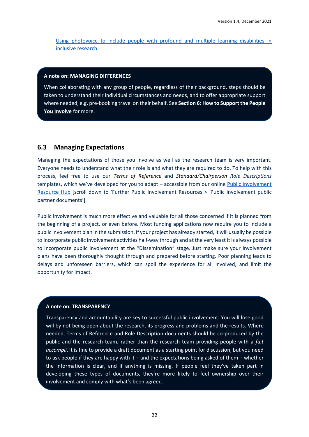[Using photovoice to include people with profound and multiple learning disabilities in](http://www.scie-socialcareonline.org.uk/using-photovoice-to-include-people-with-profound-and-multiple-learning-disabilities-in-inclusive-research/r/a1CG0000003mS7FMAU)  [inclusive research](http://www.scie-socialcareonline.org.uk/using-photovoice-to-include-people-with-profound-and-multiple-learning-disabilities-in-inclusive-research/r/a1CG0000003mS7FMAU)

### **A note on: MANAGING DIFFERENCES**

When collaborating with any group of people, regardless of their background, steps should be taken to understand their individual circumstances and needs, and to offer appropriate support where needed, e.g. pre-booking travel on their behalf. See **Section 6: How to Support the People You Involve** for more.

## <span id="page-22-0"></span>**6.3 Managing Expectations**

Managing the expectations of those you involve as well as the research team is very important. Everyone needs to understand what their role is and what they are required to do. To help with this process, feel free to use our *Terms of Reference* and *Standard/Chairperson Role Descriptions* templates, which we've developed for you to adapt – accessible from our online [Public Involvement](https://www.imperial.ac.uk/patient-experience-research-centre/ppi/ppi-resource-hub/implementing_evaluating/) [Resource Hub](https://www.imperial.ac.uk/patient-experience-research-centre/ppi/ppi-resource-hub/implementing_evaluating/) [scroll down to 'Further Public Involvement Resources > 'Public involvement public partner documents'].

Public involvement is much more effective and valuable for all those concerned if it is planned from the beginning of a project, or even before. Most funding applications now require you to include a public involvement plan in the submission. If your project has already started, it will usually be possible to incorporate public involvement activities half-way through and at the very least it is always possible to incorporate public involvement at the "Dissemination" stage. Just make sure your involvement plans have been thoroughly thought through and prepared before starting. Poor planning leads to delays and unforeseen barriers, which can spoil the experience for all involved, and limit the opportunity for impact.

## **A note on: TRANSPARENCY**

Transparency and accountability are key to successful public involvement. You will lose good will by not being open about the research, its progress and problems and the results. Where needed, Terms of Reference and Role Description documents should be co-produced by the public and the research team, rather than the research team providing people with a *fait accompli*. It is fine to provide a draft document as a starting point for discussion, but you need to ask people if they are happy with it – and the expectations being asked of them – whether the information is clear, and if anything is missing. If people feel they've taken part in developing these types of documents, they're more likely to feel ownership over their involvement and comply with what's been agreed.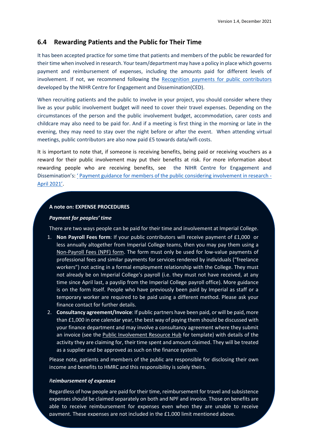# <span id="page-23-0"></span>**6.4 Rewarding Patients and the Public for Their Time**

It has been accepted practice for some time that patients and members of the public be rewarded for their time when involved in research. Your team/department may have a policy in place which governs payment and reimbursement of expenses, including the amounts paid for different levels of involvement. If not, we recommend following the [Recognition payments for public contributors](http://www.invo.org.uk/wp-content/uploads/2016/05/INVOLVE-internal-payment-policy-2016-final-1.pdf) developed by the NIHR Centre for Engagement and Dissemination(CED).

When recruiting patients and the public to involve in your project, you should consider where they live as your public involvement budget will need to cover their travel expenses. Depending on the circumstances of the person and the public involvement budget, accommodation, carer costs and childcare may also need to be paid for. And if a meeting is first thing in the morning or late in the evening, they may need to stay over the night before or after the event. When attending virtual meetings, public contributors are also now paid £5 towards data/wifi costs.

It is important to note that, if someone is receiving benefits, being paid or receiving vouchers as a reward for their public involvement may put their benefits at risk. For more information about rewarding people who are receiving benefits, see the NIHR Centre for Engagement and Dissemination's: ' [Payment guidance for members of the public considering involvement in research](https://www.invo.org.uk/wp-content/uploads/2018/11/INVOLVE-REVISED-Nov-2018-Updates-on-welfare-benefits-regulations.pdf) - [April 2021](https://www.invo.org.uk/wp-content/uploads/2018/11/INVOLVE-REVISED-Nov-2018-Updates-on-welfare-benefits-regulations.pdf)'.

## **A note on: EXPENSE PROCEDURES**

## *Payment for peoples' time*

There are two ways people can be paid for their time and involvement at Imperial College.

- 1. **Non Payroll Fees form**: If your public contributors will receive payment of £1,000 or less annually altogether from Imperial College teams, then you may pay them using a [Non-Payroll Fees \(NPF\) form.](http://www.imperial.ac.uk/finance/financial-services/expenses/) The form must only be used for low-value payments of professional fees and similar payments for services rendered by individuals ("freelance workers") not acting in a formal employment relationship with the College. They must not already be on Imperial College's payroll (i.e. they must not have received, at any time since April last, a payslip from the Imperial College payroll office). More guidance is on the form itself. People who have previously been paid by Imperial as staff or a temporary worker are required to be paid using a different method. Please ask your finance contact for further details.
- 2. **Consultancy agreement/Invoice**: If public partners have been paid, or will be paid, more than £1,000 in one calendar year, the best way of paying them should be discussed with your finance department and may involve a consultancy agreement where they submit an invoice (see the [Public Involvement](https://www.imperial.ac.uk/patient-experience-research-centre/ppi/ppi-resource-hub/implementing_evaluating/) Resource Hub for template) with details of the activity they are claiming for, their time spent and amount claimed. They will be treated as a supplier and be approved as such on the finance system.

Please note, patients and members of the public are responsible for disclosing their own income and benefits to HMRC and this responsibility is solely theirs.

#### *Reimbursement of expenses*

payment. These expenses are not included in the £1,000 limit mentioned above. Regardless of how people are paid for their time, reimbursement for travel and subsistence expenses should be claimed separately on both and NPF and invoice. Those on benefits are able to receive reimbursement for expenses even when they are unable to receive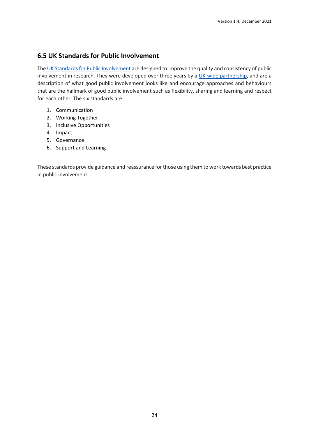# **6.5 UK Standards for Public Involvement**

Th[e UK Standards for Public Involvement](https://sites.google.com/nihr.ac.uk/pi-standards/home) are designed to improve the quality and consistency of public involvement in research. They were developed over three years by a [UK-wide partnership,](https://www.google.com/url?q=https%3A%2F%2Fsites.google.com%2Fnihr.ac.uk%2Fpi-standards%2Fabout-us%3Fauthuser%3D0&sa=D&sntz=1&usg=AFQjCNFG6e8jRP2skJT3YnRejDYOGQWU0g) and are a description of what good public involvement looks like and encourage approaches and behaviours that are the hallmark of good public involvement such as flexibility, sharing and learning and respect for each other. The six standards are:

- 1. Communication
- 2. Working Together
- 3. Inclusive Opportunities
- 4. Impact
- 5. Governance
- 6. Support and Learning

These standards provide guidance and reassurance for those using them to work towards best practice in public involvement.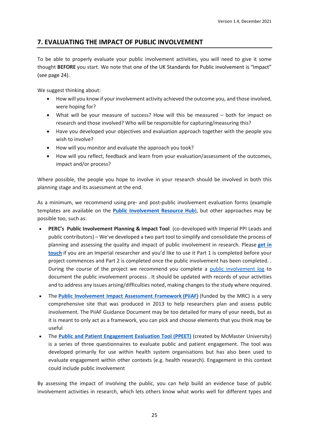# <span id="page-25-0"></span>**7. EVALUATING THE IMPACT OF PUBLIC INVOLVEMENT**

To be able to properly evaluate your public involvement activities, you will need to give it some thought **BEFORE** you start. We note that one of the UK Standards for Public involvement is "Impact" (see page 24).

We suggest thinking about:

- How will you know if your involvement activity achieved the outcome you, and those involved, were hoping for?
- What will be your measure of success? How will this be measured both for impact on research and those involved? Who will be responsible for capturing/measuring this?
- Have you developed your objectives and evaluation approach together with the people you wish to involve?
- How will you monitor and evaluate the approach you took?
- How will you reflect, feedback and learn from your evaluation/assessment of the outcomes, impact and/or process?

Where possible, the people you hope to involve in your research should be involved in both this planning stage and its assessment at the end.

As a minimum, we recommend using pre- and post-public involvement evaluation forms (example templates are available on the **Public [Involvement](https://www.imperial.ac.uk/patient-experience-research-centre/ppi/ppi-resource-hub/) Resource Hub**), but other approaches may be possible too, such as:

- **PERC's Public Involvement Planning & Impact Tool** (co-developed with Imperial PPI Leads and public contributors) – We've developed a two part tool to simplify and consolidate the process of planning and assessing the quality and impact of public involvement in research. Please **[get](mailto:ppi@imperial.ac.uk) in [touch](mailto:ppi@imperial.ac.uk)** if you are an Imperial researcher and you'd like to use it Part 1 is completed before your project commences and Part 2 is completed once the public involvement has been completed. . During the course of the project we recommend you complete a [public involvement log](https://view.officeapps.live.com/op/view.aspx?src=https%3A%2F%2Fwww.imperial.ac.uk%2Fmedia%2Fimperial-college%2Fmedicine%2Fperc%2FPublic-involvement-log-(PHWE).docx&wdOrigin=BROWSELINK) to document the public involvement process . It should be updated with records of your activities and to address any issues arising/difficulties noted, making changes to the study where required.
- The **Public [Involvement](http://piiaf.org.uk/index.php) Impact Assessment Framework (PiiAF)** (funded by the MRC) is a very comprehensive site that was produced in 2013 to help researchers plan and assess public involvement. The PiiAF Guidance Document may be too detailed for many of your needs, but as it is meant to only act as a framework, you can pick and choose elements that you think may be useful
- The **Public and Patient [Engagement](https://ppe.mcmaster.ca/our-products/public-patient-engagement-evaluation-tool) Evaluation Tool (PPEET)** (created by McMaster University) is a series of three questionnaires to evaluate public and patient engagement. The tool was developed primarily for use within health system organisations but has also been used to evaluate engagement within other contexts (e.g. health research). Engagement in this context could include public involvement

By assessing the impact of involving the public, you can help build an evidence base of public involvement activities in research, which lets others know what works well for different types and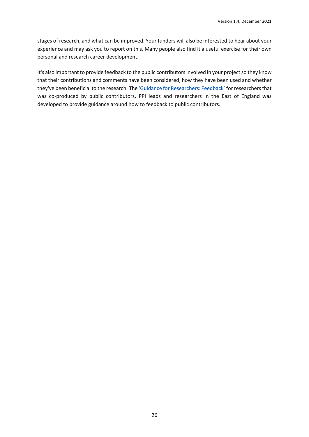stages of research, and what can be improved. Your funders will also be interested to hear about your experience and may ask you to report on this. Many people also find it a useful exercise for their own personal and research career development.

It's also important to provide feedback to the public contributors involved in your project so they know that their contributions and comments have been considered, how they have been used and whether they've been beneficial to the research. The 'Guidance for [Researchers:](https://www.clahrc-eoe.nihr.ac.uk/wp-content/uploads/2016/05/Guidance-for-Researchers-PPI-Feedback_2018.pdf) Feedback' for researchers that was co-produced by public contributors, PPI leads and researchers in the East of England was developed to provide guidance around how to feedback to public contributors.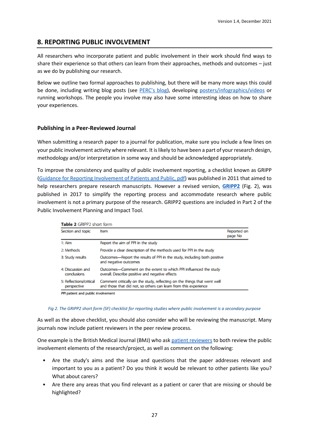# <span id="page-27-0"></span>**8. REPORTING PUBLIC INVOLVEMENT**

All researchers who incorporate patient and public involvement in their work should find ways to share their experience so that others can learn from their approaches, methods and outcomes – just as we do by publishing our research.

Below we outline two formal approaches to publishing, but there will be many more ways this could be done, including writing blog posts (see [PERC's](https://wwwf.imperial.ac.uk/blog/perc/) blog), developing [posters/infographics/videos](https://www.imperial.ac.uk/media/imperial-college/medicine/perc/Respiratory-Survey-Infographic(1).pdf) or running workshops. The people you involve may also have some interesting ideas on how to share your experiences.

# **Publishing in a Peer-Reviewed Journal**

When submitting a research paper to a journal for publication, make sure you include a few lines on your public involvement activity where relevant. It is likely to have been a part of your research design, methodology and/or interpretation in some way and should be acknowledged appropriately.

To improve the consistency and quality of public involvement reporting, a checklist known as GRIPP (Guidance for [Reporting Involvement of Patients and Public, pdf\)](https://www.cambridge.org/core/services/aop-cambridge-core/content/view/0F12FE8D0A37B8E44AEA31099E63DB44/S0266462311000481a.pdf/gripp_checklist_strengthening_the_quality_of_patient_and_public_involvement_reporting_in_research.pdf) was published in 2011 that aimed to help researchers prepare research manuscripts. However a revised version, **[GRIPP2](https://researchinvolvement.biomedcentral.com/track/pdf/10.1186/s40900-017-0062-2?site=researchinvolvement.biomedcentral.com)** (Fig. 2), was published in 2017 to simplify the reporting process and accommodate research where public involvement is not a primary purpose of the research. GRIPP2 questions are included in Part 2 of the Public Involvement Planning and Impact Tool.

| Section and topic                      | ltern                                                                                                                                        | Reported on<br>page No |
|----------------------------------------|----------------------------------------------------------------------------------------------------------------------------------------------|------------------------|
| $1:$ Aim                               | Report the aim of PPI in the study                                                                                                           |                        |
| 2: Methods                             | Provide a clear description of the methods used for PPI in the study                                                                         |                        |
| 3: Study results                       | Outcomes—Report the results of PPI in the study, including both positive<br>and negative outcomes                                            |                        |
| 4: Discussion and<br>conclusions       | Outcomes-Comment on the extent to which PPI influenced the study<br>overall. Describe positive and negative effects                          |                        |
| 5: Reflections/critical<br>perspective | Comment critically on the study, reflecting on the things that went well<br>and those that did not, so others can learn from this experience |                        |

## *Fig 2. The GRIPP2 short form (SF) checklist for reporting studies where public involvement is a secondary purpose*

As well as the above checklist, you should also consider who will be reviewing the manuscript. Many journals now include patient reviewers in the peer review process.

One example is the British Medical Journal (BMJ) who ask [patient reviewers](https://www.bmj.com/about-bmj/resources-reviewers/guidance-patient-reviewers) to both review the public involvement elements of the research/project, as well as comment on the following:

- Are the study's aims and the issue and questions that the paper addresses relevant and important to you as a patient? Do you think it would be relevant to other patients like you? What about carers?
- Are there any areas that you find relevant as a patient or carer that are missing or should be highlighted?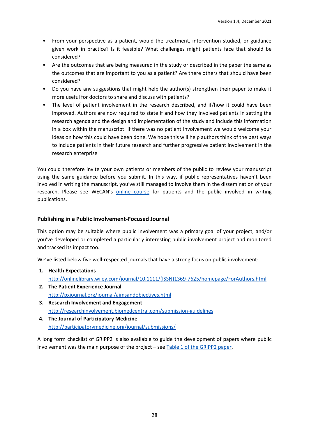- From your perspective as a patient, would the treatment, intervention studied, or guidance given work in practice? Is it feasible? What challenges might patients face that should be considered?
- Are the outcomes that are being measured in the study or described in the paper the same as the outcomes that are important to you as a patient? Are there others that should have been considered?
- Do you have any suggestions that might help the author(s) strengthen their paper to make it more useful for doctors to share and discuss with patients?
- The level of patient involvement in the research described, and if/how it could have been improved. Authors are now required to state if and how they involved patients in setting the research agenda and the design and implementation of the study and include this information in a box within the manuscript. If there was no patient involvement we would welcome your ideas on how this could have been done. We hope this will help authors think of the best ways to include patients in their future research and further progressive patient involvement in the research enterprise

You could therefore invite your own patients or members of the public to review your manuscript using the same guidance before you submit. In this way, if public representatives haven't been involved in writing the manuscript, you've still managed to involve them in the dissemination of your research. Please see WECAN's [online course](https://wecanadvocate.eu/patients-in-publications/) for patients and the public involved in writing publications.

# **Publishing in a Public Involvement-Focused Journal**

This option may be suitable where public involvement was a primary goal of your project, and/or you've developed or completed a particularly interesting public involvement project and monitored and tracked its impact too.

We've listed below five well-respected journals that have a strong focus on public involvement:

- **1. Health Expectations** [http://onlinelibrary.wiley.com/journal/10.1111/\(ISSN\)1369-7625/homepage/ForAuthors.html](http://onlinelibrary.wiley.com/journal/10.1111/(ISSN)1369-7625/homepage/ForAuthors.html)
- **2. The Patient Experience Journal** <http://pxjournal.org/journal/aimsandobjectives.html>
- **3. Research Involvement and Engagement** <http://researchinvolvement.biomedcentral.com/submission-guidelines>
- **4. The Journal of Participatory Medicine** <http://participatorymedicine.org/journal/submissions/>

A long form checklist of GRIPP2 is also available to guide the development of papers where public involvement was the main purpose of the project – see [Table 1 of the GRIPP2 paper.](https://researchinvolvement.biomedcentral.com/track/pdf/10.1186/s40900-017-0062-2?site=researchinvolvement.biomedcentral.com)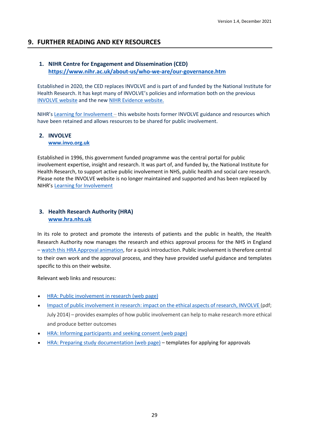# <span id="page-29-0"></span>**9. FURTHER READING AND KEY RESOURCES**

# **1. NIHR Centre for Engagement and Dissemination (CED)**

**<https://www.nihr.ac.uk/about-us/who-we-are/our-governance.htm>**

Established in 2020, the CED replaces INVOLVE and is part of and funded by the National Institute for Health Research. It has kept many of INVOLVE's policies and information both on the previous [INVOLVE website](http://www.invo.org.uk/) and the new [NIHR Evidence website.](https://evidence.nihr.ac.uk/)

NIHR's [Learning for Involvement](https://www.learningforinvolvement.org.uk/wp-content/uploads/2021/04/Public-Co-Applicants-in-Research-April-2021.pdf) – this website hosts former INVOLVE guidance and resources which have been retained and allows resources to be shared for public involvement.

## **2. INVOLVE**

**[www.invo.org.uk](http://www.invo.org.uk/)**

Established in 1996, this government funded programme was the central portal for public involvement expertise, insight and research. It was part of, and funded by, the National Institute for Health Research, to support active public involvement in NHS, public health and social care research. Please note the INVOLVE website is no longer maintained and supported and has been replaced by NIHR's [Learning for Involvement](https://www.learningforinvolvement.org.uk/wp-content/uploads/2021/04/Public-Co-Applicants-in-Research-April-2021.pdf)

# **3. Health Research Authority (HRA) [www.hra.nhs.uk](http://www.hra.nhs.uk/)**

In its role to protect and promote the interests of patients and the public in health, the Health Research Authority now manages the research and ethics approval process for the NHS in England – watch this HRA Approval [animation,](https://youtu.be/Wo2oeS6buTs) for a quick introduction. Public involvement is therefore central to their own work and the approval process, and they have provided useful guidance and templates specific to this on their website.

Relevant web links and resources:

- HRA: Public [involvement](https://www.hra.nhs.uk/planning-and-improving-research/research-planning/public-involvement/) in research (web page)
- Impact of public [involvement](http://www.invo.org.uk/wp-content/uploads/2014/10/INVOLVEImpactEthicalAspectsResearch-Links-updated-July-2014_WEB.pdf) in research: impact on the ethical aspects of research, INVOLVE (pdf; July 2014) – provides examples of how public involvement can help to make research more ethical and produce better outcomes
- HRA: Informing [participants](https://www.hra.nhs.uk/planning-and-improving-research/best-practice/informing-participants-and-seeking-consent/) and seeking consent (web page)
- HRA: Preparing study [documentation](https://www.hra.nhs.uk/planning-and-improving-research/research-planning/prepare-study-documentation/) (web page) templates for applying for approvals